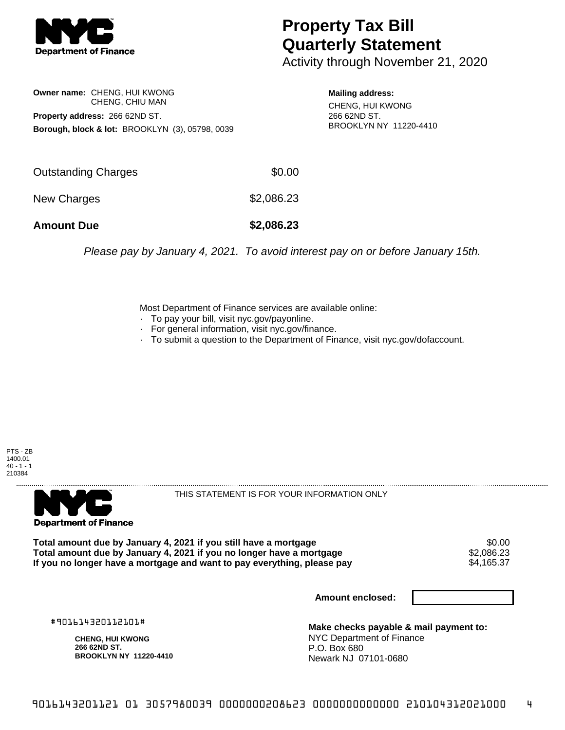

## **Property Tax Bill Quarterly Statement**

Activity through November 21, 2020

**Owner name:** CHENG, HUI KWONG CHENG, CHIU MAN **Property address:** 266 62ND ST. **Borough, block & lot:** BROOKLYN (3), 05798, 0039

**Mailing address:** CHENG, HUI KWONG 266 62ND ST. BROOKLYN NY 11220-4410

| <b>Amount Due</b>   | \$2,086.23 |
|---------------------|------------|
| New Charges         | \$2,086.23 |
| Outstanding Charges | \$0.00     |

Please pay by January 4, 2021. To avoid interest pay on or before January 15th.

Most Department of Finance services are available online:

- · To pay your bill, visit nyc.gov/payonline.
- For general information, visit nyc.gov/finance.
- · To submit a question to the Department of Finance, visit nyc.gov/dofaccount.





THIS STATEMENT IS FOR YOUR INFORMATION ONLY

Total amount due by January 4, 2021 if you still have a mortgage \$0.00<br>Total amount due by January 4, 2021 if you no longer have a mortgage \$2.086.23 **Total amount due by January 4, 2021 if you no longer have a mortgage**  $$2,086.23$$ **<br>If you no longer have a mortgage and want to pay everything, please pay** If you no longer have a mortgage and want to pay everything, please pay

**Amount enclosed:**

#901614320112101#

**CHENG, HUI KWONG 266 62ND ST. BROOKLYN NY 11220-4410**

**Make checks payable & mail payment to:** NYC Department of Finance P.O. Box 680 Newark NJ 07101-0680